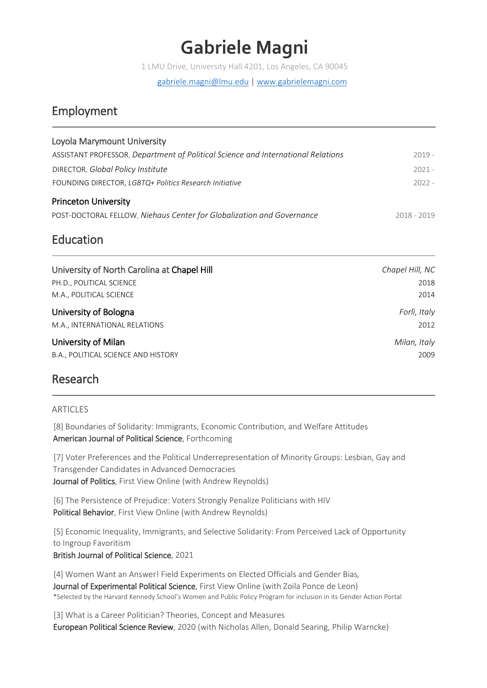# **Gabriele Magni**

1 LMU Drive, University Hall 4201, Los Angeles, CA 90045

[gabriele.magni@lmu.edu](mailto:gabriele.magni@lmu.edu) | [www.gabrielemagni.com](http://www.gabrielemagni.com/)

# Employment

| Loyola Marymount University                                                      |             |
|----------------------------------------------------------------------------------|-------------|
| ASSISTANT PROFESSOR, Department of Political Science and International Relations | $2019 -$    |
| DIRECTOR, Global Policy Institute                                                | $2021 -$    |
| FOUNDING DIRECTOR, LGBTQ+ Politics Research Initiative                           | $2022 -$    |
| <b>Princeton University</b>                                                      |             |
| POST-DOCTORAL FELLOW, Niehaus Center for Globalization and Governance            | 2018 - 2019 |

# Education

| University of North Carolina at Chapel Hill | Chapel Hill, NC |
|---------------------------------------------|-----------------|
| PH.D., POLITICAL SCIENCE                    | 2018            |
| M.A., POLITICAL SCIENCE                     | 2014            |
| University of Bologna                       | Forlì, Italy    |
| M.A., INTERNATIONAL RELATIONS               | 2012            |
| University of Milan                         | Milan, Italy    |
| B.A., POLITICAL SCIENCE AND HISTORY         | 2009            |

# Research

# **ARTICLES**

[8] Boundaries of Solidarity: Immigrants, Economic Contribution, and Welfare Attitudes American Journal of Political Science, Forthcoming

[7] Voter Preferences and the Political Underrepresentation of Minority Groups: Lesbian, Gay and Transgender Candidates in Advanced Democracies Journal of Politics, First View Online (with Andrew Reynolds)

[6] The Persistence of Prejudice: Voters Strongly Penalize Politicians with HIV Political Behavior, First View Online (with Andrew Reynolds)

[5] Economic Inequality, Immigrants, and Selective Solidarity: From Perceived Lack of Opportunity to Ingroup Favoritism British Journal of Political Science, 2021

[4] Women Want an Answer! Field Experiments on Elected Officials and Gender Bias*,*  Journal of Experimental Political Science, First View Online (with Zoila Ponce de Leon) \*Selected by the Harvard Kennedy School's Women and Public Policy Program for inclusion in its Gender Action Portal

[3] What is a Career Politician? Theories, Concept and Measures European Political Science Review, 2020 (with Nicholas Allen, Donald Searing, Philip Warncke)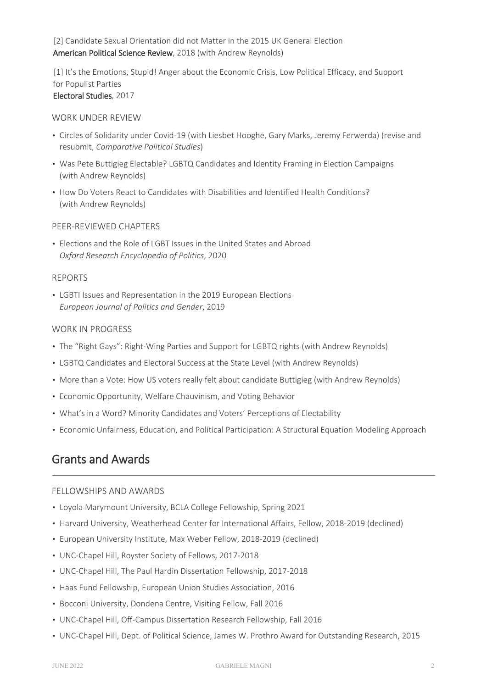[2] Candidate Sexual Orientation did not Matter in the 2015 UK General Election American Political Science Review, 2018 (with Andrew Reynolds)

[1] It's the Emotions, Stupid! Anger about the Economic Crisis, Low Political Efficacy, and Support for Populist Parties Electoral Studies, 2017

### WORK UNDER REVIEW

- Circles of Solidarity under Covid-19 (with Liesbet Hooghe, Gary Marks, Jeremy Ferwerda) (revise and resubmit, *Comparative Political Studies*)
- Was Pete Buttigieg Electable? LGBTQ Candidates and Identity Framing in Election Campaigns (with Andrew Reynolds)
- How Do Voters React to Candidates with Disabilities and Identified Health Conditions? (with Andrew Reynolds)

## PEER-REVIEWED CHAPTERS

• Elections and the Role of LGBT Issues in the United States and Abroad *Oxford Research Encyclopedia of Politics*, 2020

### REPORTS

• LGBTI Issues and Representation in the 2019 European Elections *European Journal of Politics and Gender*, 2019

### WORK IN PROGRESS

- The "Right Gays": Right-Wing Parties and Support for LGBTQ rights (with Andrew Reynolds)
- LGBTQ Candidates and Electoral Success at the State Level (with Andrew Reynolds)
- More than a Vote: How US voters really felt about candidate Buttigieg (with Andrew Reynolds)
- Economic Opportunity, Welfare Chauvinism, and Voting Behavior
- What's in a Word? Minority Candidates and Voters' Perceptions of Electability
- Economic Unfairness, Education, and Political Participation: A Structural Equation Modeling Approach

# Grants and Awards

### FELLOWSHIPS AND AWARDS

- Loyola Marymount University, BCLA College Fellowship, Spring 2021
- Harvard University, Weatherhead Center for International Affairs, Fellow, 2018-2019 (declined)
- European University Institute, Max Weber Fellow, 2018-2019 (declined)
- UNC-Chapel Hill, Royster Society of Fellows, 2017-2018
- UNC-Chapel Hill, The Paul Hardin Dissertation Fellowship, 2017-2018
- Haas Fund Fellowship, European Union Studies Association, 2016
- Bocconi University, Dondena Centre, Visiting Fellow, Fall 2016
- UNC-Chapel Hill, Off-Campus Dissertation Research Fellowship, Fall 2016
- UNC-Chapel Hill, Dept. of Political Science, James W. Prothro Award for Outstanding Research, 2015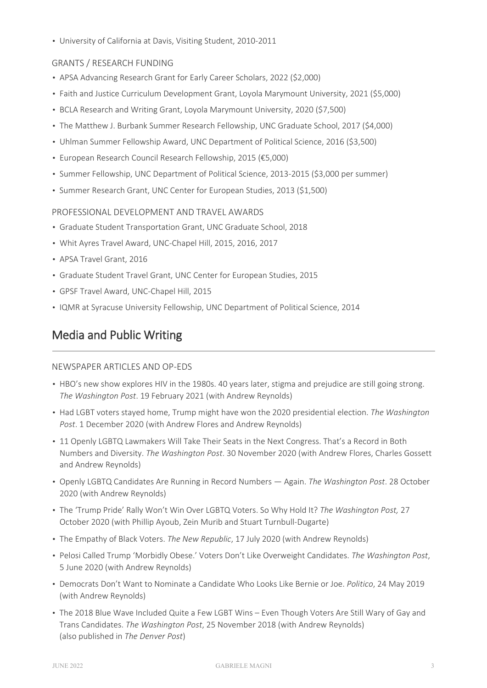• University of California at Davis, Visiting Student, 2010-2011

# GRANTS / RESEARCH FUNDING

- APSA Advancing Research Grant for Early Career Scholars, 2022 (\$2,000)
- Faith and Justice Curriculum Development Grant, Loyola Marymount University, 2021 (\$5,000)
- BCLA Research and Writing Grant, Loyola Marymount University, 2020 (\$7,500)
- The Matthew J. Burbank Summer Research Fellowship, UNC Graduate School, 2017 (\$4,000)
- Uhlman Summer Fellowship Award, UNC Department of Political Science, 2016 (\$3,500)
- European Research Council Research Fellowship, 2015 (€5,000)
- Summer Fellowship, UNC Department of Political Science, 2013-2015 (\$3,000 per summer)
- Summer Research Grant, UNC Center for European Studies, 2013 (\$1,500)

### PROFESSIONAL DEVELOPMENT AND TRAVEL AWARDS

- Graduate Student Transportation Grant, UNC Graduate School, 2018
- Whit Ayres Travel Award, UNC-Chapel Hill, 2015, 2016, 2017
- APSA Travel Grant, 2016
- Graduate Student Travel Grant, UNC Center for European Studies, 2015
- GPSF Travel Award, UNC-Chapel Hill, 2015
- IQMR at Syracuse University Fellowship, UNC Department of Political Science, 2014

# Media and Public Writing

### NEWSPAPER ARTICLES AND OP-EDS

- HBO's new show explores HIV in the 1980s. 40 years later, stigma and prejudice are still going strong. *The Washington Post*. 19 February 2021 (with Andrew Reynolds)
- Had LGBT voters stayed home, Trump might have won the 2020 presidential election. *The Washington Post*. 1 December 2020 (with Andrew Flores and Andrew Reynolds)
- 11 Openly LGBTQ Lawmakers Will Take Their Seats in the Next Congress. That's a Record in Both Numbers and Diversity. *The Washington Post*. 30 November 2020 (with Andrew Flores, Charles Gossett and Andrew Reynolds)
- Openly LGBTQ Candidates Are Running in Record Numbers Again. *The Washington Post*. 28 October 2020 (with Andrew Reynolds)
- The 'Trump Pride' Rally Won't Win Over LGBTQ Voters. So Why Hold It? *The Washington Post,* 27 October 2020 (with Phillip Ayoub, Zein Murib and Stuart Turnbull-Dugarte)
- The Empathy of Black Voters. *The New Republic*, 17 July 2020 (with Andrew Reynolds)
- Pelosi Called Trump 'Morbidly Obese.' Voters Don't Like Overweight Candidates. *The Washington Post*, 5 June 2020 (with Andrew Reynolds)
- Democrats Don't Want to Nominate a Candidate Who Looks Like Bernie or Joe. *Politico*, 24 May 2019 (with Andrew Reynolds)
- The 2018 Blue Wave Included Quite a Few LGBT Wins Even Though Voters Are Still Wary of Gay and Trans Candidates. *The Washington Post*, 25 November 2018 (with Andrew Reynolds) (also published in *The Denver Post*)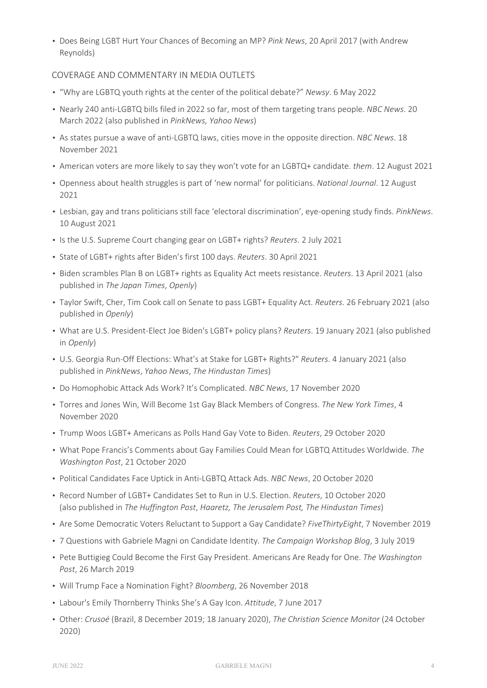• Does Being LGBT Hurt Your Chances of Becoming an MP? *Pink News*, 20 April 2017 (with Andrew Reynolds)

### COVERAGE AND COMMENTARY IN MEDIA OUTLETS

- "Why are LGBTQ youth rights at the center of the political debate?" *Newsy*. 6 May 2022
- Nearly 240 anti-LGBTQ bills filed in 2022 so far, most of them targeting trans people. *NBC News*. 20 March 2022 (also published in *PinkNews, Yahoo News*)
- As states pursue a wave of anti-LGBTQ laws, cities move in the opposite direction. *NBC News*. 18 November 2021
- American voters are more likely to say they won't vote for an LGBTQ+ candidate. *them*. 12 August 2021
- Openness about health struggles is part of 'new normal' for politicians. *National Journal*. 12 August 2021
- Lesbian, gay and trans politicians still face 'electoral discrimination', eye-opening study finds. *PinkNews*. 10 August 2021
- Is the U.S. Supreme Court changing gear on LGBT+ rights? *Reuters*. 2 July 2021
- State of LGBT+ rights after Biden's first 100 days. *Reuters*. 30 April 2021
- Biden scrambles Plan B on LGBT+ rights as Equality Act meets resistance. *Reuters*. 13 April 2021 (also published in *The Japan Times*, *Openly*)
- Taylor Swift, Cher, Tim Cook call on Senate to pass LGBT+ Equality Act. *Reuters*. 26 February 2021 (also published in *Openly*)
- What are U.S. President-Elect Joe Biden's LGBT+ policy plans? *Reuters*. 19 January 2021 (also published in *Openly*)
- U.S. Georgia Run-Off Elections: What's at Stake for LGBT+ Rights?" *Reuters*. 4 January 2021 (also published in *PinkNews*, *Yahoo News*, *The Hindustan Times*)
- Do Homophobic Attack Ads Work? It's Complicated. *NBC News*, 17 November 2020
- Torres and Jones Win, Will Become 1st Gay Black Members of Congress. *The New York Times*, 4 November 2020
- Trump Woos LGBT+ Americans as Polls Hand Gay Vote to Biden. *Reuters*, 29 October 2020
- What Pope Francis's Comments about Gay Families Could Mean for LGBTQ Attitudes Worldwide. *The Washington Post*, 21 October 2020
- Political Candidates Face Uptick in Anti-LGBTQ Attack Ads. *NBC News*, 20 October 2020
- Record Number of LGBT+ Candidates Set to Run in U.S. Election. *Reuters*, 10 October 2020 (also published in *The Huffington Post*, *Haaretz, The Jerusalem Post, The Hindustan Times*)
- Are Some Democratic Voters Reluctant to Support a Gay Candidate? *FiveThirtyEight*, 7 November 2019
- 7 Questions with Gabriele Magni on Candidate Identity. *The Campaign Workshop Blog*, 3 July 2019
- Pete Buttigieg Could Become the First Gay President. Americans Are Ready for One. *The Washington Post*, 26 March 2019
- Will Trump Face a Nomination Fight? *Bloomberg*, 26 November 2018
- Labour's Emily Thornberry Thinks She's A Gay Icon. *Attitude*, 7 June 2017
- Other: *Crusoé* (Brazil, 8 December 2019; 18 January 2020), *The Christian Science Monitor* (24 October 2020)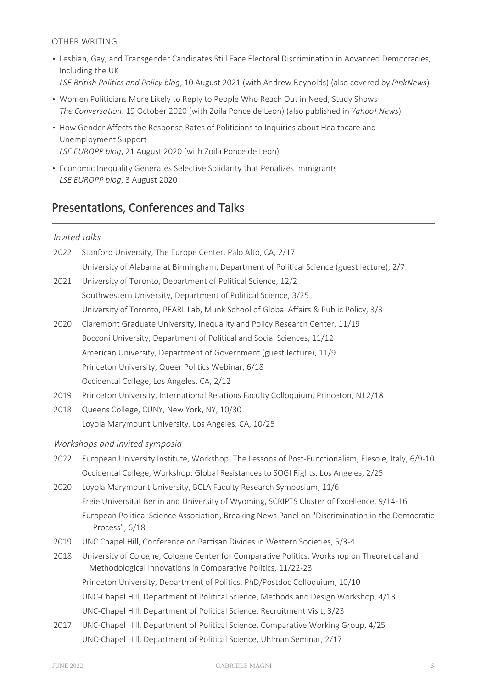# OTHER WRITING

- Lesbian, Gay, and Transgender Candidates Still Face Electoral Discrimination in Advanced Democracies, Including the UK *LSE British Politics and Policy blog*, 10 August 2021 (with Andrew Reynolds) (also covered by *PinkNews*)
- Women Politicians More Likely to Reply to People Who Reach Out in Need, Study Shows *The Conversation*. 19 October 2020 (with Zoila Ponce de Leon) (also published in *Yahoo! News*)
- How Gender Affects the Response Rates of Politicians to Inquiries about Healthcare and Unemployment Support *LSE EUROPP blog*, 21 August 2020 (with Zoila Ponce de Leon)
- Economic Inequality Generates Selective Solidarity that Penalizes Immigrants *LSE EUROPP blog*, 3 August 2020

# Presentations, Conferences and Talks

## *Invited talks*

| 2022 | Stanford University, The Europe Center, Palo Alto, CA, 2/17                                                                                                 |
|------|-------------------------------------------------------------------------------------------------------------------------------------------------------------|
|      | University of Alabama at Birmingham, Department of Political Science (guest lecture), 2/7                                                                   |
| 2021 | University of Toronto, Department of Political Science, 12/2                                                                                                |
|      | Southwestern University, Department of Political Science, 3/25                                                                                              |
|      | University of Toronto, PEARL Lab, Munk School of Global Affairs & Public Policy, 3/3                                                                        |
| 2020 | Claremont Graduate University, Inequality and Policy Research Center, 11/19                                                                                 |
|      | Bocconi University, Department of Political and Social Sciences, 11/12                                                                                      |
|      | American University, Department of Government (guest lecture), 11/9                                                                                         |
|      | Princeton University, Queer Politics Webinar, 6/18                                                                                                          |
|      | Occidental College, Los Angeles, CA, 2/12                                                                                                                   |
| 2019 | Princeton University, International Relations Faculty Colloquium, Princeton, NJ 2/18                                                                        |
| 2018 | Queens College, CUNY, New York, NY, 10/30                                                                                                                   |
|      | Loyola Marymount University, Los Angeles, CA, 10/25                                                                                                         |
|      | Workshops and invited symposia                                                                                                                              |
| 2022 | European University Institute, Workshop: The Lessons of Post-Functionalism, Fiesole, Italy, 6/9-10                                                          |
|      | Occidental College, Workshop: Global Resistances to SOGI Rights, Los Angeles, 2/25                                                                          |
| 2020 | Loyola Marymount University, BCLA Faculty Research Symposium, 11/6                                                                                          |
|      | Freie Universität Berlin and University of Wyoming, SCRIPTS Cluster of Excellence, 9/14-16                                                                  |
|      | European Political Science Association, Breaking News Panel on "Discrimination in the Democratic<br>Process", 6/18                                          |
| 2019 | UNC Chapel Hill, Conference on Partisan Divides in Western Societies, 5/3-4                                                                                 |
| 2018 | University of Cologne, Cologne Center for Comparative Politics, Workshop on Theoretical and<br>Methodological Innovations in Comparative Politics, 11/22-23 |
|      | Princeton University, Department of Politics, PhD/Postdoc Colloquium, 10/10                                                                                 |

- UNC-Chapel Hill, Department of Political Science, Methods and Design Workshop, 4/13
- UNC-Chapel Hill, Department of Political Science, Recruitment Visit, 3/23
- 2017 UNC-Chapel Hill, Department of Political Science, Comparative Working Group, 4/25 UNC-Chapel Hill, Department of Political Science, Uhlman Seminar, 2/17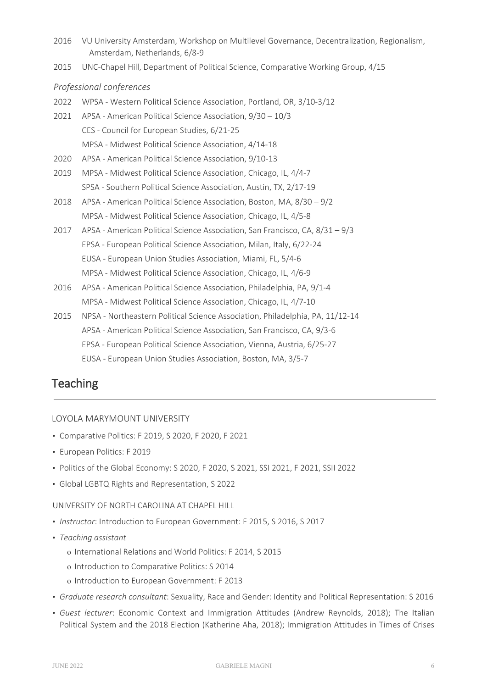- 2016 VU University Amsterdam, Workshop on Multilevel Governance, Decentralization, Regionalism, Amsterdam, Netherlands, 6/8-9
- 2015 UNC-Chapel Hill, Department of Political Science, Comparative Working Group, 4/15

### *Professional conferences*

- 2022 WPSA Western Political Science Association, Portland, OR, 3/10-3/12
- 2021 APSA American Political Science Association, 9/30 10/3 CES - Council for European Studies, 6/21-25 MPSA - Midwest Political Science Association, 4/14-18
- 2020 APSA American Political Science Association, 9/10-13
- 2019 MPSA Midwest Political Science Association, Chicago, IL, 4/4-7 SPSA - Southern Political Science Association, Austin, TX, 2/17-19
- 2018 APSA American Political Science Association, Boston, MA, 8/30 9/2 MPSA - Midwest Political Science Association, Chicago, IL, 4/5-8
- 2017 APSA American Political Science Association, San Francisco, CA, 8/31 9/3 EPSA - European Political Science Association, Milan, Italy, 6/22-24 EUSA - European Union Studies Association, Miami, FL, 5/4-6 MPSA - Midwest Political Science Association, Chicago, IL, 4/6-9
- 2016 APSA American Political Science Association, Philadelphia, PA, 9/1-4 MPSA - Midwest Political Science Association, Chicago, IL, 4/7-10
- 2015 NPSA Northeastern Political Science Association, Philadelphia, PA, 11/12-14 APSA - American Political Science Association, San Francisco, CA, 9/3-6 EPSA - European Political Science Association, Vienna, Austria, 6/25-27 EUSA - European Union Studies Association, Boston, MA, 3/5-7

# **Teaching**

## LOYOLA MARYMOUNT UNIVERSITY

- Comparative Politics: F 2019, S 2020, F 2020, F 2021
- European Politics: F 2019
- Politics of the Global Economy: S 2020, F 2020, S 2021, SSI 2021, F 2021, SSII 2022
- Global LGBTQ Rights and Representation, S 2022

### UNIVERSITY OF NORTH CAROLINA AT CHAPEL HILL

- *Instructor*: Introduction to European Government: F 2015, S 2016, S 2017
- *Teaching assistant*
	- o International Relations and World Politics: F 2014, S 2015
	- o Introduction to Comparative Politics: S 2014
	- o Introduction to European Government: F 2013
- *Graduate research consultant*: Sexuality, Race and Gender: Identity and Political Representation: S 2016
- *Guest lecturer*: Economic Context and Immigration Attitudes (Andrew Reynolds, 2018); The Italian Political System and the 2018 Election (Katherine Aha, 2018); Immigration Attitudes in Times of Crises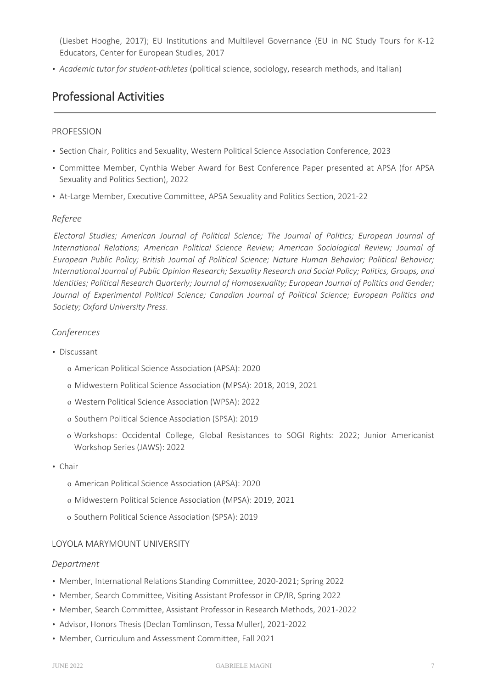(Liesbet Hooghe, 2017); EU Institutions and Multilevel Governance (EU in NC Study Tours for K-12 Educators, Center for European Studies, 2017

• *Academic tutor for student-athletes* (political science, sociology, research methods, and Italian)

# Professional Activities

### PROFESSION

- Section Chair, Politics and Sexuality, Western Political Science Association Conference, 2023
- Committee Member, Cynthia Weber Award for Best Conference Paper presented at APSA (for APSA Sexuality and Politics Section), 2022
- At-Large Member, Executive Committee, APSA Sexuality and Politics Section, 2021-22

### *Referee*

*Electoral Studies; American Journal of Political Science; The Journal of Politics; European Journal of International Relations; American Political Science Review; American Sociological Review; Journal of European Public Policy; British Journal of Political Science; Nature Human Behavior; Political Behavior; International Journal of Public Opinion Research; Sexuality Research and Social Policy; Politics, Groups, and Identities; Political Research Quarterly; Journal of Homosexuality; European Journal of Politics and Gender; Journal of Experimental Political Science; Canadian Journal of Political Science; European Politics and Society; Oxford University Press*.

### *Conferences*

- Discussant
	- o American Political Science Association (APSA): 2020
	- o Midwestern Political Science Association (MPSA): 2018, 2019, 2021
	- o Western Political Science Association (WPSA): 2022
	- o Southern Political Science Association (SPSA): 2019
	- o Workshops: Occidental College, Global Resistances to SOGI Rights: 2022; Junior Americanist Workshop Series (JAWS): 2022
- Chair
	- o American Political Science Association (APSA): 2020
	- o Midwestern Political Science Association (MPSA): 2019, 2021
	- o Southern Political Science Association (SPSA): 2019

### LOYOLA MARYMOUNT UNIVERSITY

#### *Department*

- Member, International Relations Standing Committee, 2020-2021; Spring 2022
- Member, Search Committee, Visiting Assistant Professor in CP/IR, Spring 2022
- Member, Search Committee, Assistant Professor in Research Methods, 2021-2022
- Advisor, Honors Thesis (Declan Tomlinson, Tessa Muller), 2021-2022
- Member, Curriculum and Assessment Committee, Fall 2021